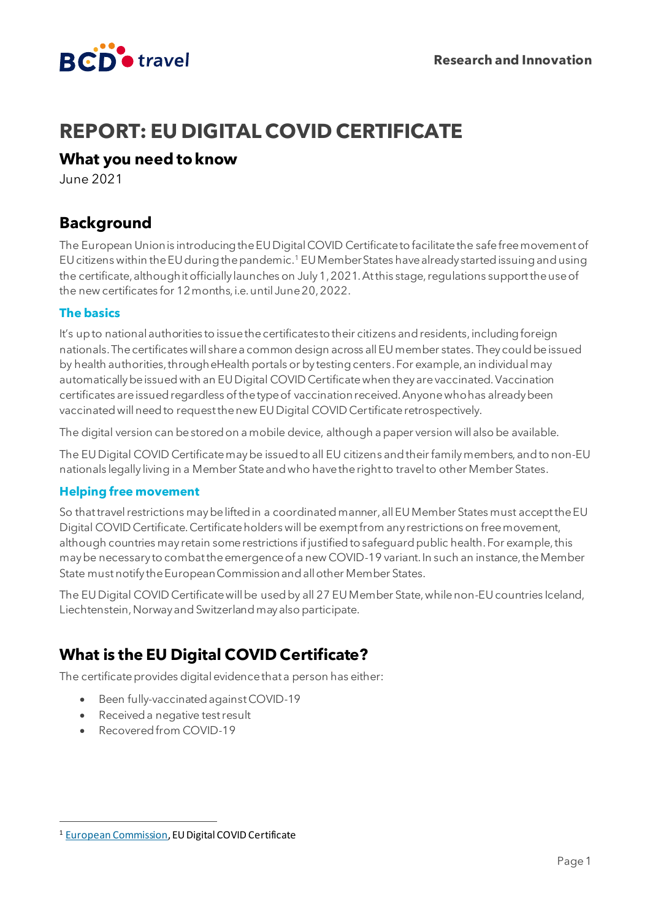

# **REPORT: EU DIGITAL COVID CERTIFICATE**

### **What you need to know**

June 2021

## **Background**

The European Union is introducing the EU Digital COVID Certificate to facilitate the safe free movement of EU citizens within the EU during the pandemic.<sup>1</sup> EU Member States have already started issuing and using the certificate, although it officially launches on July 1, 2021.At this stage, regulations support the use of the new certificates for 12 months, i.e. until June 20, 2022.

### **The basics**

It's up to national authorities to issue the certificates to their citizens and residents, including foreign nationals. The certificates will share a common design across all EU member states. They could be issued by health authorities, through eHealth portals or by testing centers. For example, an individual may automatically be issued with an EU Digital COVID Certificate when they are vaccinated.Vaccination certificates are issued regardless of the type of vaccinationreceived. Anyone who has already been vaccinated will need to request the new EU Digital COVID Certificateretrospectively.

The digital version can be stored on a mobile device, although a paper version will also be available.

The EU Digital COVID Certificate may be issued to all EU citizens and their family members, and to non-EU nationals legally living in a Member State and who have the right to travel to other Member States.

### **Helping free movement**

So that travel restrictions may be lifted in a coordinated manner, all EU Member States must acceptthe EU Digital COVID Certificate. Certificate holders will be exempt from any restrictions on free movement, although countries may retain some restrictions if justified to safeguard public health. For example, this may be necessary to combat the emergence of a new COVID-19 variant. In such an instance, the Member State must notify the European Commission and all other Member States.

The EU Digital COVID Certificate will be used by all 27 EU Member State, while non-EU countries Iceland, Liechtenstein,Norway and Switzerlandmay also participate.

# **What is the EU Digital COVID Certificate?**

The certificate provides digitalevidence that a person has either:

- Been fully-vaccinated against COVID-19
- Received a negative test result
- Recovered from COVID-19

<sup>&</sup>lt;sup>1</sup> [European Commission](https://ec.europa.eu/info/live-work-travel-eu/coronavirus-response/safe-covid-19-vaccines-europeans/eu-digital-covid-certificate_en), EU Digital COVID Certificate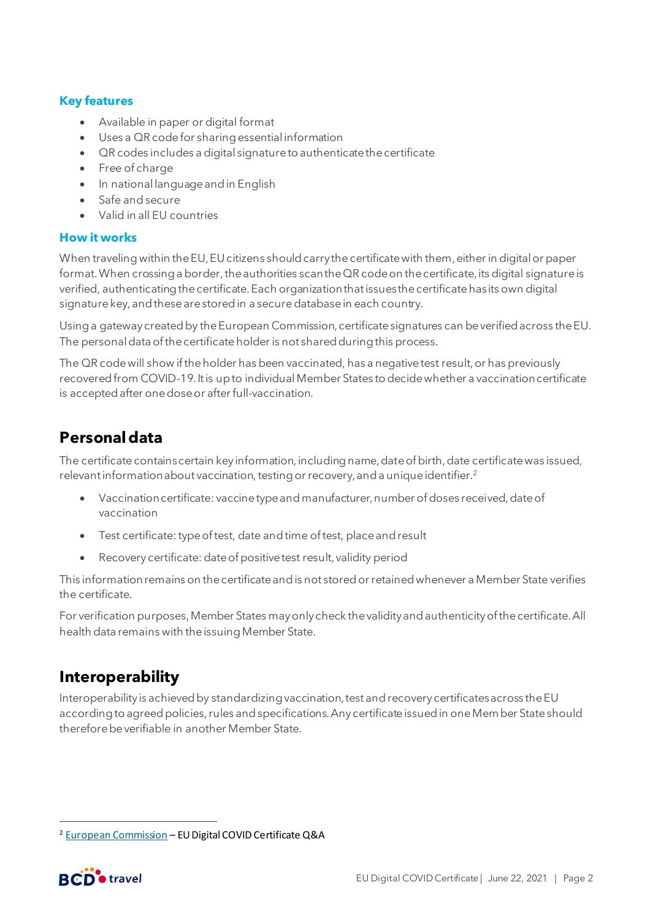#### **Key features**

- Available in paper or digital format
- Uses a QR codefor sharing essential information
- QR codes includes a digital signature to authenticate the certificate
- Free of charge
- In national language and in English
- Safe and secure
- Valid in all EU countries

#### **How it works**

When traveling within the EU, EU citizens should carry the certificatewith them, either in digital or paper format. When crossing a border, the authorities scan the QR code on the certificate, its digital signature is verified, authenticating the certificate. Each organization that issues the certificatehas its own digital signature key, and these are stored in a secure database in each country.

Using a gateway created by the European Commission, certificate signatures can be verified across the EU. The personal data of the certificate holder is not shared during this process.

The QR code will show if the holder has been vaccinated, has a negative test result, or has previously recovered from COVID-19. It is upto individualMember States to decide whether a vaccination certificate is accepted after one dose or after full-vaccination.

### **Personal data**

The certificate contains certain key information, including name, date of birth, date certificate was issued, relevant information about vaccination, testing or recovery, and a unique identifier.<sup>2</sup>

- Vaccination certificate: vaccine type and manufacturer, number of doses received, date of vaccination
- Test certificate: type of test, date and time of test, place and result
- Recovery certificate: date of positive test result, validity period

This information remains on the certificate and is not stored or retained whenever a Member State verifies the certificate.

For verification purposes, Member States may only check the validity and authenticity of the certificate. All health data remains with the issuing Member State.

### **Interoperability**

Interoperability is achieved by standardizing vaccination, test andrecovery certificates across the EU according to agreed policies, rules and specifications. Any certificate issued in one Member State should therefore be verifiable in another Member State.

<sup>2</sup> [European Commission](https://ec.europa.eu/commission/presscorner/detail/en/QANDA_21_2781) – EU Digital COVID Certificate Q&A